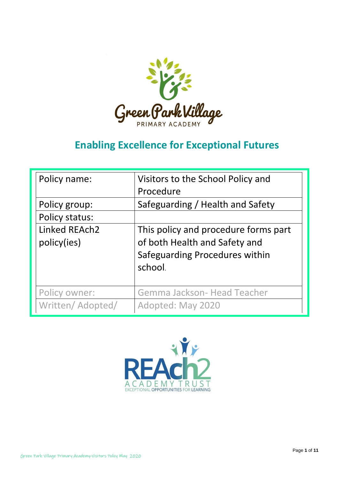

# **Enabling Excellence for Exceptional Futures**

| Policy name:                    | Visitors to the School Policy and<br>Procedure                                                                     |
|---------------------------------|--------------------------------------------------------------------------------------------------------------------|
| Policy group:<br>Policy status: | Safeguarding / Health and Safety                                                                                   |
| Linked REAch2<br>policy(ies)    | This policy and procedure forms part<br>of both Health and Safety and<br>Safeguarding Procedures within<br>school. |
| Policy owner:                   | Gemma Jackson- Head Teacher                                                                                        |
| Written/ Adopted/               | Adopted: May 2020                                                                                                  |

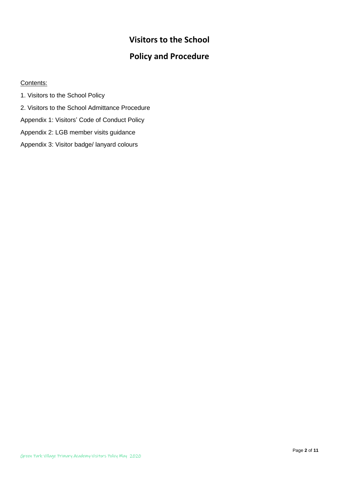# **Visitors to the School**

# **Policy and Procedure**

# Contents:

1. Visitors to the School Policy 2. Visitors to the School Admittance Procedure Appendix 1: Visitors' Code of Conduct Policy Appendix 2: LGB member visits guidance Appendix 3: Visitor badge/ lanyard colours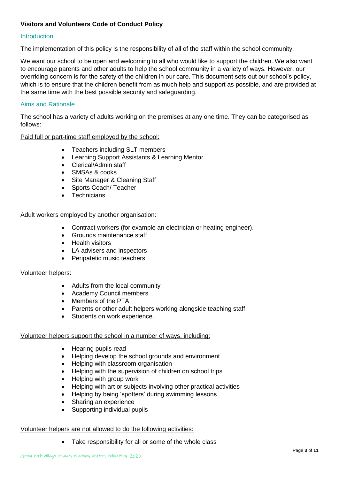# **Visitors and Volunteers Code of Conduct Policy**

# Introduction

The implementation of this policy is the responsibility of all of the staff within the school community.

We want our school to be open and welcoming to all who would like to support the children. We also want to encourage parents and other adults to help the school community in a variety of ways. However, our overriding concern is for the safety of the children in our care. This document sets out our school's policy, which is to ensure that the children benefit from as much help and support as possible, and are provided at the same time with the best possible security and safeguarding.

## Aims and Rationale

The school has a variety of adults working on the premises at any one time. They can be categorised as follows:

Paid full or part-time staff employed by the school:

- Teachers including SLT members
- Learning Support Assistants & Learning Mentor
- Clerical/Admin staff
- SMSAs & cooks
- Site Manager & Cleaning Staff
- Sports Coach/ Teacher
- **Technicians**

#### Adult workers employed by another organisation:

- Contract workers (for example an electrician or heating engineer).
- Grounds maintenance staff
- Health visitors
- LA advisers and inspectors
- Peripatetic music teachers

#### Volunteer helpers:

- Adults from the local community
- Academy Council members
- Members of the PTA
- Parents or other adult helpers working alongside teaching staff
- Students on work experience.

#### Volunteer helpers support the school in a number of ways, including:

- Hearing pupils read
- Helping develop the school grounds and environment
- Helping with classroom organisation
- Helping with the supervision of children on school trips
- Helping with group work
- Helping with art or subjects involving other practical activities
- Helping by being 'spotters' during swimming lessons
- Sharing an experience
- Supporting individual pupils

#### Volunteer helpers are not allowed to do the following activities:

• Take responsibility for all or some of the whole class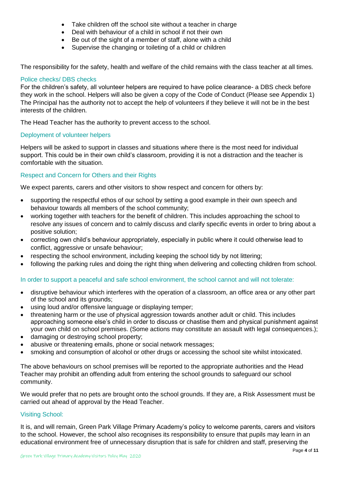- Take children off the school site without a teacher in charge
- Deal with behaviour of a child in school if not their own
- Be out of the sight of a member of staff, alone with a child
- Supervise the changing or toileting of a child or children

The responsibility for the safety, health and welfare of the child remains with the class teacher at all times.

# Police checks/ DBS checks

For the children's safety, all volunteer helpers are required to have police clearance- a DBS check before they work in the school. Helpers will also be given a copy of the Code of Conduct (Please see Appendix 1) The Principal has the authority not to accept the help of volunteers if they believe it will not be in the best interests of the children.

The Head Teacher has the authority to prevent access to the school.

# Deployment of volunteer helpers

Helpers will be asked to support in classes and situations where there is the most need for individual support. This could be in their own child's classroom, providing it is not a distraction and the teacher is comfortable with the situation.

# Respect and Concern for Others and their Rights

We expect parents, carers and other visitors to show respect and concern for others by:

- supporting the respectful ethos of our school by setting a good example in their own speech and behaviour towards all members of the school community;
- working together with teachers for the benefit of children. This includes approaching the school to resolve any issues of concern and to calmly discuss and clarify specific events in order to bring about a positive solution;
- correcting own child's behaviour appropriately, especially in public where it could otherwise lead to conflict, aggressive or unsafe behaviour;
- respecting the school environment, including keeping the school tidy by not littering;
- following the parking rules and doing the right thing when delivering and collecting children from school.

# In order to support a peaceful and safe school environment, the school cannot and will not tolerate:

- disruptive behaviour which interferes with the operation of a classroom, an office area or any other part of the school and its grounds;
- using loud and/or offensive language or displaying temper;
- threatening harm or the use of physical aggression towards another adult or child. This includes approaching someone else's child in order to discuss or chastise them and physical punishment against your own child on school premises. (Some actions may constitute an assault with legal consequences.);
- damaging or destroying school property;
- abusive or threatening emails, phone or social network messages;
- smoking and consumption of alcohol or other drugs or accessing the school site whilst intoxicated.

The above behaviours on school premises will be reported to the appropriate authorities and the Head Teacher may prohibit an offending adult from entering the school grounds to safeguard our school community.

We would prefer that no pets are brought onto the school grounds. If they are, a Risk Assessment must be carried out ahead of approval by the Head Teacher.

# Visiting School:

It is, and will remain, Green Park Village Primary Academy's policy to welcome parents, carers and visitors to the school. However, the school also recognises its responsibility to ensure that pupils may learn in an educational environment free of unnecessary disruption that is safe for children and staff, preserving the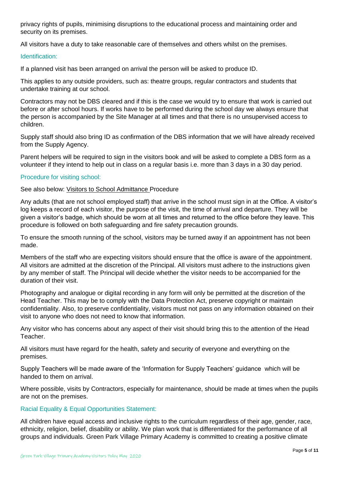privacy rights of pupils, minimising disruptions to the educational process and maintaining order and security on its premises.

All visitors have a duty to take reasonable care of themselves and others whilst on the premises.

#### Identification:

If a planned visit has been arranged on arrival the person will be asked to produce ID.

This applies to any outside providers, such as: theatre groups, regular contractors and students that undertake training at our school.

Contractors may not be DBS cleared and if this is the case we would try to ensure that work is carried out before or after school hours. If works have to be performed during the school day we always ensure that the person is accompanied by the Site Manager at all times and that there is no unsupervised access to children.

Supply staff should also bring ID as confirmation of the DBS information that we will have already received from the Supply Agency.

Parent helpers will be required to sign in the visitors book and will be asked to complete a DBS form as a volunteer if they intend to help out in class on a regular basis i.e. more than 3 days in a 30 day period.

#### Procedure for visiting school:

#### See also below: Visitors to School Admittance Procedure

Any adults (that are not school employed staff) that arrive in the school must sign in at the Office. A visitor's log keeps a record of each visitor, the purpose of the visit, the time of arrival and departure. They will be given a visitor's badge, which should be worn at all times and returned to the office before they leave. This procedure is followed on both safeguarding and fire safety precaution grounds.

To ensure the smooth running of the school, visitors may be turned away if an appointment has not been made.

Members of the staff who are expecting visitors should ensure that the office is aware of the appointment. All visitors are admitted at the discretion of the Principal. All visitors must adhere to the instructions given by any member of staff. The Principal will decide whether the visitor needs to be accompanied for the duration of their visit.

Photography and analogue or digital recording in any form will only be permitted at the discretion of the Head Teacher. This may be to comply with the Data Protection Act, preserve copyright or maintain confidentiality. Also, to preserve confidentiality, visitors must not pass on any information obtained on their visit to anyone who does not need to know that information.

Any visitor who has concerns about any aspect of their visit should bring this to the attention of the Head Teacher.

All visitors must have regard for the health, safety and security of everyone and everything on the premises.

Supply Teachers will be made aware of the 'Information for Supply Teachers' guidance which will be handed to them on arrival.

Where possible, visits by Contractors, especially for maintenance, should be made at times when the pupils are not on the premises.

#### Racial Equality & Equal Opportunities Statement:

All children have equal access and inclusive rights to the curriculum regardless of their age, gender, race, ethnicity, religion, belief, disability or ability. We plan work that is differentiated for the performance of all groups and individuals. Green Park Village Primary Academy is committed to creating a positive climate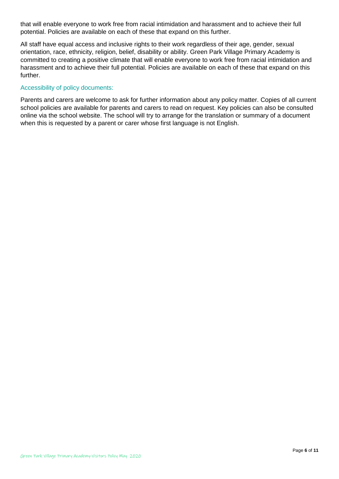that will enable everyone to work free from racial intimidation and harassment and to achieve their full potential. Policies are available on each of these that expand on this further.

All staff have equal access and inclusive rights to their work regardless of their age, gender, sexual orientation, race, ethnicity, religion, belief, disability or ability. Green Park Village Primary Academy is committed to creating a positive climate that will enable everyone to work free from racial intimidation and harassment and to achieve their full potential. Policies are available on each of these that expand on this further.

## Accessibility of policy documents:

Parents and carers are welcome to ask for further information about any policy matter. Copies of all current school policies are available for parents and carers to read on request. Key policies can also be consulted online via the school website. The school will try to arrange for the translation or summary of a document when this is requested by a parent or carer whose first language is not English.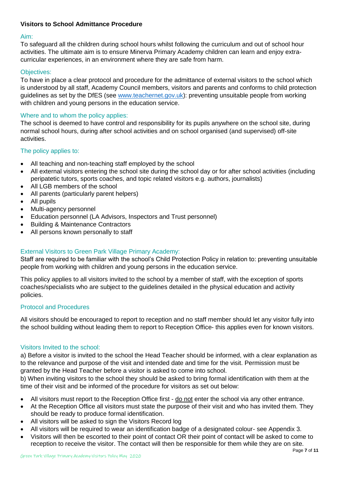# **Visitors to School Admittance Procedure**

#### Aim:

To safeguard all the children during school hours whilst following the curriculum and out of school hour activities. The ultimate aim is to ensure Minerva Primary Academy children can learn and enjoy extracurricular experiences, in an environment where they are safe from harm.

# Objectives:

To have in place a clear protocol and procedure for the admittance of external visitors to the school which is understood by all staff, Academy Council members, visitors and parents and conforms to child protection guidelines as set by the DfES (see [www.teachernet.gov.uk\)](http://www.teachernet.gov.uk/): preventing unsuitable people from working with children and young persons in the education service.

# Where and to whom the policy applies:

The school is deemed to have control and responsibility for its pupils anywhere on the school site, during normal school hours, during after school activities and on school organised (and supervised) off-site activities.

# The policy applies to:

- All teaching and non-teaching staff employed by the school
- All external visitors entering the school site during the school day or for after school activities (including peripatetic tutors, sports coaches, and topic related visitors e.g. authors, journalists)
- All LGB members of the school
- All parents (particularly parent helpers)
- All pupils
- Multi-agency personnel
- Education personnel (LA Advisors, Inspectors and Trust personnel)
- Building & Maintenance Contractors
- All persons known personally to staff

# External Visitors to Green Park Village Primary Academy:

Staff are required to be familiar with the school's Child Protection Policy in relation to: preventing unsuitable people from working with children and young persons in the education service.

This policy applies to all visitors invited to the school by a member of staff, with the exception of sports coaches/specialists who are subject to the guidelines detailed in the physical education and activity policies.

# Protocol and Procedures

All visitors should be encouraged to report to reception and no staff member should let any visitor fully into the school building without leading them to report to Reception Office- this applies even for known visitors.

# Visitors Invited to the school:

a) Before a visitor is invited to the school the Head Teacher should be informed, with a clear explanation as to the relevance and purpose of the visit and intended date and time for the visit. Permission must be granted by the Head Teacher before a visitor is asked to come into school.

b) When inviting visitors to the school they should be asked to bring formal identification with them at the time of their visit and be informed of the procedure for visitors as set out below:

- All visitors must report to the Reception Office first do not enter the school via any other entrance.
- At the Reception Office all visitors must state the purpose of their visit and who has invited them. They should be ready to produce formal identification.
- All visitors will be asked to sign the Visitors Record log
- All visitors will be required to wear an identification badge of a designated colour- see Appendix 3.
- Visitors will then be escorted to their point of contact OR their point of contact will be asked to come to reception to receive the visitor. The contact will then be responsible for them while they are on site.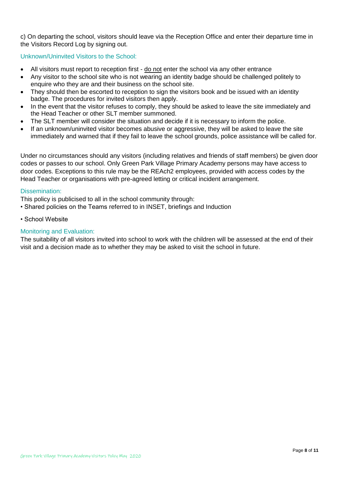c) On departing the school, visitors should leave via the Reception Office and enter their departure time in the Visitors Record Log by signing out.

# Unknown/Uninvited Visitors to the School:

- All visitors must report to reception first do not enter the school via any other entrance
- Any visitor to the school site who is not wearing an identity badge should be challenged politely to enquire who they are and their business on the school site.
- They should then be escorted to reception to sign the visitors book and be issued with an identity badge. The procedures for invited visitors then apply.
- In the event that the visitor refuses to comply, they should be asked to leave the site immediately and the Head Teacher or other SLT member summoned.
- The SLT member will consider the situation and decide if it is necessary to inform the police.
- If an unknown/uninvited visitor becomes abusive or aggressive, they will be asked to leave the site immediately and warned that if they fail to leave the school grounds, police assistance will be called for.

Under no circumstances should any visitors (including relatives and friends of staff members) be given door codes or passes to our school. Only Green Park Village Primary Academy persons may have access to door codes. Exceptions to this rule may be the REAch2 employees, provided with access codes by the Head Teacher or organisations with pre-agreed letting or critical incident arrangement.

#### Dissemination:

- This policy is publicised to all in the school community through:
- Shared policies on the Teams referred to in INSET, briefings and Induction
- School Website

# Monitoring and Evaluation:

The suitability of all visitors invited into school to work with the children will be assessed at the end of their visit and a decision made as to whether they may be asked to visit the school in future.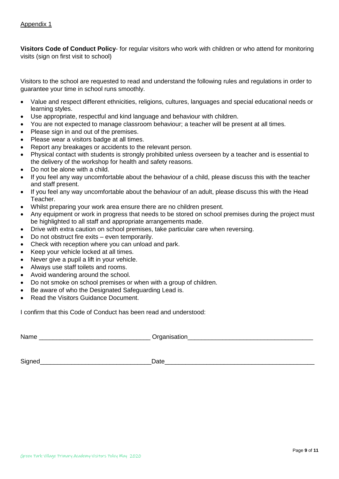**Visitors Code of Conduct Policy**- for regular visitors who work with children or who attend for monitoring visits (sign on first visit to school)

Visitors to the school are requested to read and understand the following rules and regulations in order to guarantee your time in school runs smoothly.

- Value and respect different ethnicities, religions, cultures, languages and special educational needs or learning styles.
- Use appropriate, respectful and kind language and behaviour with children.
- You are not expected to manage classroom behaviour; a teacher will be present at all times.
- Please sign in and out of the premises.
- Please wear a visitors badge at all times.
- Report any breakages or accidents to the relevant person.
- Physical contact with students is strongly prohibited unless overseen by a teacher and is essential to the delivery of the workshop for health and safety reasons.
- Do not be alone with a child.
- If you feel any way uncomfortable about the behaviour of a child, please discuss this with the teacher and staff present.
- If you feel any way uncomfortable about the behaviour of an adult, please discuss this with the Head Teacher.
- Whilst preparing your work area ensure there are no children present.
- Any equipment or work in progress that needs to be stored on school premises during the project must be highlighted to all staff and appropriate arrangements made.
- Drive with extra caution on school premises, take particular care when reversing.
- Do not obstruct fire exits even temporarily.
- Check with reception where you can unload and park.
- Keep your vehicle locked at all times.
- Never give a pupil a lift in your vehicle.
- Always use staff toilets and rooms.
- Avoid wandering around the school.
- Do not smoke on school premises or when with a group of children.
- Be aware of who the Designated Safeguarding Lead is.
- Read the Visitors Guidance Document.

I confirm that this Code of Conduct has been read and understood:

Name **Name Name Name Organisation** 

Signed **Signed Signed Signed Signed Signed Signed Signed Signed Signed Signed Signed Signed Signed Signed Signed Signed Signed Signed Signed Signed Signed Signed Signed Signed**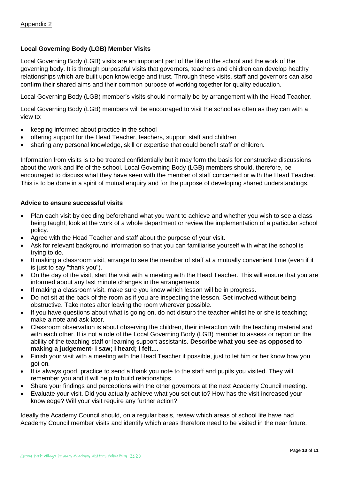# **Local Governing Body (LGB) Member Visits**

Local Governing Body (LGB) visits are an important part of the life of the school and the work of the governing body. It is through purposeful visits that governors, teachers and children can develop healthy relationships which are built upon knowledge and trust. Through these visits, staff and governors can also confirm their shared aims and their common purpose of working together for quality education.

Local Governing Body (LGB) member's visits should normally be by arrangement with the Head Teacher.

Local Governing Body (LGB) members will be encouraged to visit the school as often as they can with a view to:

- keeping informed about practice in the school
- offering support for the Head Teacher, teachers, support staff and children
- sharing any personal knowledge, skill or expertise that could benefit staff or children.

Information from visits is to be treated confidentially but it may form the basis for constructive discussions about the work and life of the school. Local Governing Body (LGB) members should, therefore, be encouraged to discuss what they have seen with the member of staff concerned or with the Head Teacher. This is to be done in a spirit of mutual enquiry and for the purpose of developing shared understandings.

#### **Advice to ensure successful visits**

- Plan each visit by deciding beforehand what you want to achieve and whether you wish to see a class being taught, look at the work of a whole department or review the implementation of a particular school policy.
- Agree with the Head Teacher and staff about the purpose of your visit.
- Ask for relevant background information so that you can familiarise yourself with what the school is trying to do.
- If making a classroom visit, arrange to see the member of staff at a mutually convenient time (even if it is just to say "thank you").
- On the day of the visit, start the visit with a meeting with the Head Teacher. This will ensure that you are informed about any last minute changes in the arrangements.
- If making a classroom visit, make sure you know which lesson will be in progress.
- Do not sit at the back of the room as if you are inspecting the lesson. Get involved without being obstructive. Take notes after leaving the room wherever possible.
- If you have questions about what is going on, do not disturb the teacher whilst he or she is teaching; make a note and ask later.
- Classroom observation is about observing the children, their interaction with the teaching material and with each other. It is not a role of the Local Governing Body (LGB) member to assess or report on the ability of the teaching staff or learning support assistants. **Describe what you see as opposed to making a judgement- I saw; I heard; I felt....**
- Finish your visit with a meeting with the Head Teacher if possible, just to let him or her know how you got on.
- It is always good practice to send a thank you note to the staff and pupils you visited. They will remember you and it will help to build relationships.
- Share your findings and perceptions with the other governors at the next Academy Council meeting.
- Evaluate your visit. Did you actually achieve what you set out to? How has the visit increased your knowledge? Will your visit require any further action?

Ideally the Academy Council should, on a regular basis, review which areas of school life have had Academy Council member visits and identify which areas therefore need to be visited in the near future.